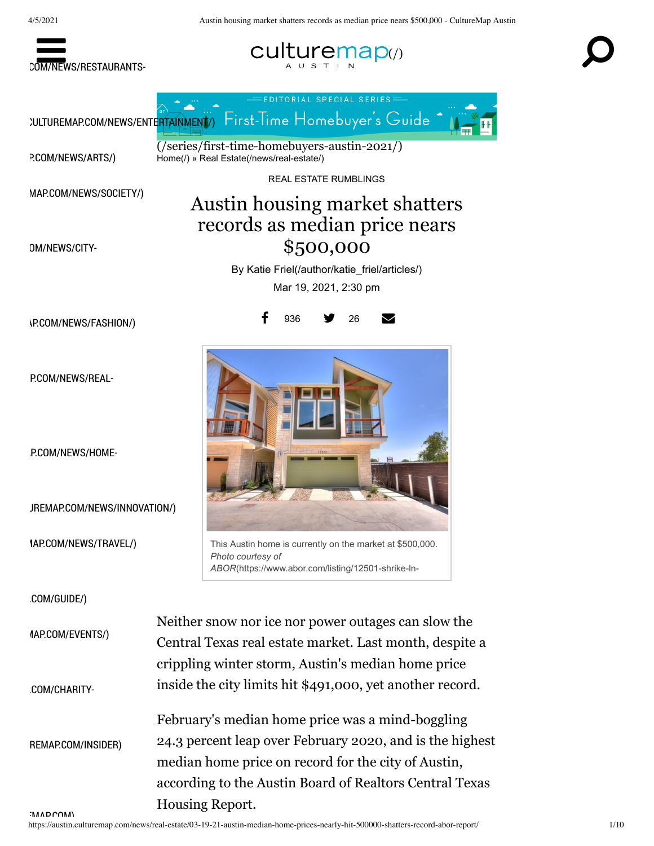





P.COM/NEWS/ARTS/)

OM/NEWS/CITY-

MAP.COM/NEWS/SOCIETY/)

 $\overline{I/(series/first-time-homebuyers-austin-2021/)}$ Home(/) » Real Estate(/news/real-estate/)

REAL ESTATE RUMBLINGS

## Austin housing market shatters records as median price nears \$500,000

By Katie Friel(/author/katie\_friel/articles/) Mar 19, 2021, 2:30 pm

26

936

**\P.COM/NEWS/FASHION/)** 

P.COM/NEWS/REAI-

P.COM/NEWS/HOME-

JREMAP.COM/NEWS/INNOVATION/)

1AP.COM/NEWS/TRAVEL/)

:COM/GUIDE/)

*AAP.COM/EVENTS/)* 

:COM/CHARITY-

**IMADCOM)** 

This Austin home is currently on the market at \$500,000. Photo courtesy of ABOR(https://www.abor.com/listing/12501-shrike-ln-

Neither snow nor ice nor power outages can slow the Central Texas real estate market. Last month, despite a crippling winter storm, Austin's median home price inside the city limits hit \$491,000, yet another record.

February's median home price was a mind-boggling 24.3 percent leap over February 2020, and is the highest REMAP.COM/INSIDER) median home price on record for the city of Austin, according to the Austin Board of Realtors Central Texas Housing Report.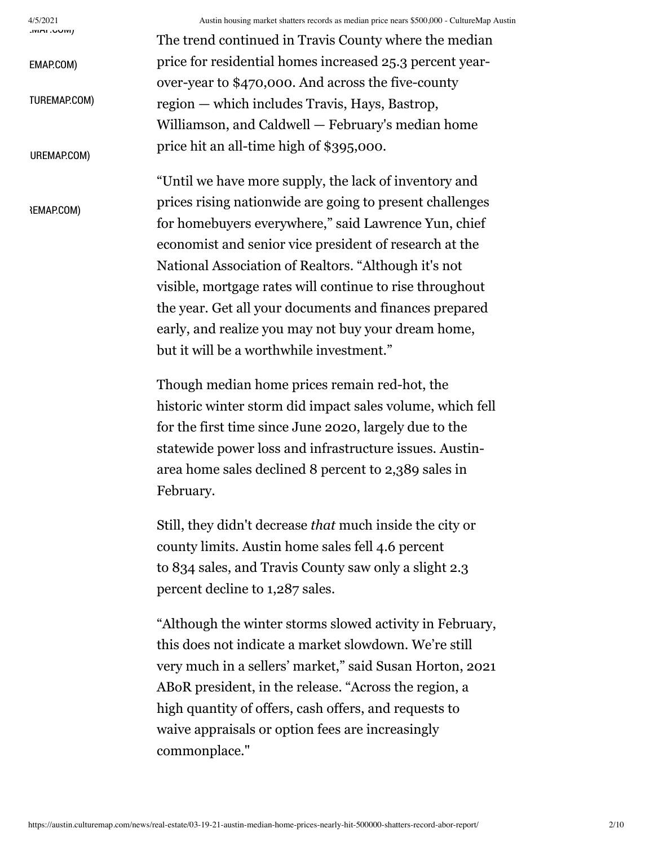$4/5/2021$ **IVIME.UUIVI**  Austin housing market shatters records as median price nears \$500,000 - CultureMap Austin

The trend continued in Travis County where the median price for residential homes increased 25.3 percent year-EMAP.COM) over-year to \$470,000. And across the five-county TUREMAP.COM) region — which includes Travis, Hays, Bastrop, Williamson, and Caldwell - February's median home price hit an all-time high of \$395,000. UREMAP.COM) "Until we have more supply, the lack of inventory and prices rising nationwide are going to present challenges **REMAP.COM)** 

for homebuyers everywhere," said Lawrence Yun, chief economist and senior vice president of research at the National Association of Realtors. "Although it's not visible, mortgage rates will continue to rise throughout the year. Get all your documents and finances prepared early, and realize you may not buy your dream home, but it will be a worthwhile investment."

Though median home prices remain red-hot, the historic winter storm did impact sales volume, which fell for the first time since June 2020, largely due to the statewide power loss and infrastructure issues. Austinarea home sales declined 8 percent to 2,389 sales in February.

Still, they didn't decrease *that* much inside the city or county limits. Austin home sales fell 4.6 percent to 834 sales, and Travis County saw only a slight 2.3 percent decline to 1,287 sales.

"Although the winter storms slowed activity in February, this does not indicate a market slowdown. We're still very much in a sellers' market," said Susan Horton, 2021 ABoR president, in the release. "Across the region, a high quantity of offers, cash offers, and requests to waive appraisals or option fees are increasingly commonplace."